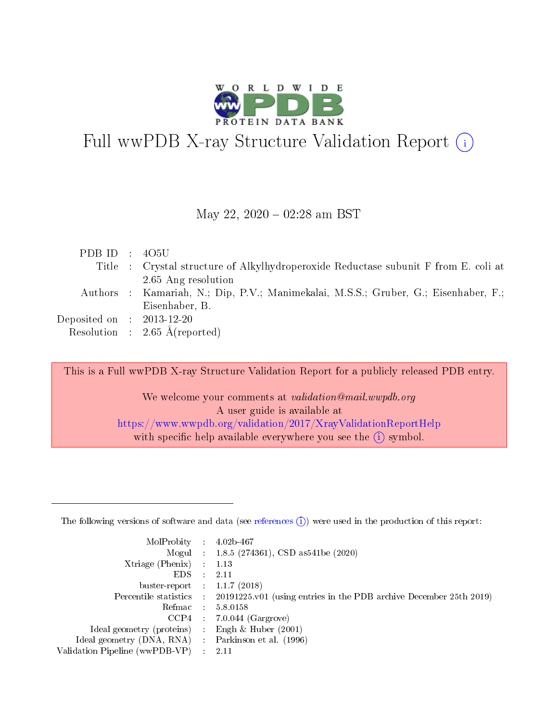

# Full wwPDB X-ray Structure Validation Report  $(i)$

#### May 22,  $2020 - 02:28$  am BST

| PDB ID : $405U$             |                                                                                     |
|-----------------------------|-------------------------------------------------------------------------------------|
|                             | Title : Crystal structure of Alkylhydroperoxide Reductase subunit F from E. coli at |
|                             | 2.65 Ang resolution                                                                 |
|                             | Authors : Kamariah, N.; Dip, P.V.; Manimekalai, M.S.S.; Gruber, G.; Eisenhaber, F.; |
|                             | Eisenhaber, B.                                                                      |
| Deposited on : $2013-12-20$ |                                                                                     |
|                             | Resolution : $2.65 \text{ Å}$ (reported)                                            |

This is a Full wwPDB X-ray Structure Validation Report for a publicly released PDB entry.

We welcome your comments at validation@mail.wwpdb.org A user guide is available at <https://www.wwpdb.org/validation/2017/XrayValidationReportHelp> with specific help available everywhere you see the  $(i)$  symbol.

The following versions of software and data (see [references](https://www.wwpdb.org/validation/2017/XrayValidationReportHelp#references)  $(1)$ ) were used in the production of this report:

| MolProbity :                   |               | $4.02b - 467$                                                                |
|--------------------------------|---------------|------------------------------------------------------------------------------|
|                                |               | Mogul : $1.8.5$ (274361), CSD as 541be (2020)                                |
| Xtriage (Phenix)               | $\mathcal{L}$ | 1.13                                                                         |
| EDS.                           |               | 2.11                                                                         |
| buster-report : $1.1.7$ (2018) |               |                                                                              |
| Percentile statistics :        |               | $20191225 \text{ v}01$ (using entries in the PDB archive December 25th 2019) |
| Refmac :                       |               | 5.8.0158                                                                     |
| CCP4                           |               | $7.0.044$ (Gargrove)                                                         |
| Ideal geometry (proteins) :    |               | Engh & Huber $(2001)$                                                        |
| Ideal geometry (DNA, RNA) :    |               | Parkinson et al. (1996)                                                      |
| Validation Pipeline (wwPDB-VP) | $\mathcal{L}$ | 2.11                                                                         |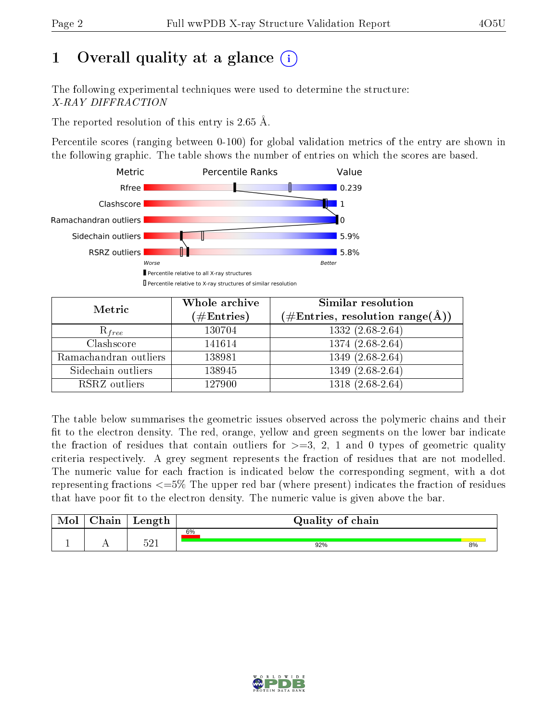# 1 [O](https://www.wwpdb.org/validation/2017/XrayValidationReportHelp#overall_quality)verall quality at a glance  $(i)$

The following experimental techniques were used to determine the structure: X-RAY DIFFRACTION

The reported resolution of this entry is  $2.65 \text{ Å}.$ 

Percentile scores (ranging between 0-100) for global validation metrics of the entry are shown in the following graphic. The table shows the number of entries on which the scores are based.



| Metric                | Whole archive<br>$(\#\mathrm{Entries})$ | Similar resolution<br>$(\#\text{Entries},\, \text{resolution}\; \text{range}(\textup{\AA}))$ |
|-----------------------|-----------------------------------------|----------------------------------------------------------------------------------------------|
| $R_{free}$            | 130704                                  | $1332(2.68-2.64)$                                                                            |
| Clashscore            | 141614                                  | $1374(2.68-2.64)$                                                                            |
| Ramachandran outliers | 138981                                  | $1349(2.68-2.64)$                                                                            |
| Sidechain outliers    | 138945                                  | 1349 (2.68-2.64)                                                                             |
| RSRZ outliers         | 127900                                  | 1318 (2.68-2.64)                                                                             |

The table below summarises the geometric issues observed across the polymeric chains and their fit to the electron density. The red, orange, yellow and green segments on the lower bar indicate the fraction of residues that contain outliers for  $>=3, 2, 1$  and 0 types of geometric quality criteria respectively. A grey segment represents the fraction of residues that are not modelled. The numeric value for each fraction is indicated below the corresponding segment, with a dot representing fractions  $\epsilon=5\%$  The upper red bar (where present) indicates the fraction of residues that have poor fit to the electron density. The numeric value is given above the bar.

| Mol | $\sim$ $\sim$<br>hain | Length | Quality of chain |    |
|-----|-----------------------|--------|------------------|----|
|     |                       | ۲01    | 6%               |    |
| л.  | . .                   | ⊥ ∠ ر  | 92%              | 8% |

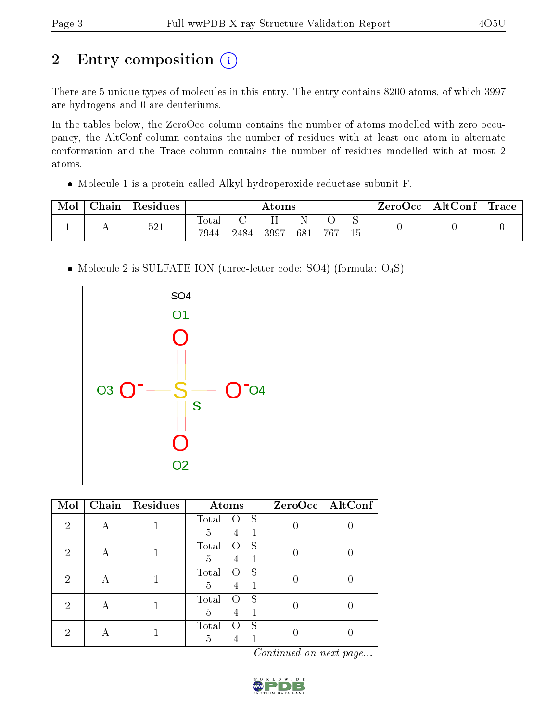# 2 Entry composition (i)

There are 5 unique types of molecules in this entry. The entry contains 8200 atoms, of which 3997 are hydrogens and 0 are deuteriums.

In the tables below, the ZeroOcc column contains the number of atoms modelled with zero occupancy, the AltConf column contains the number of residues with at least one atom in alternate conformation and the Trace column contains the number of residues modelled with at most 2 atoms.

Molecule 1 is a protein called Alkyl hydroperoxide reductase subunit F.

| Mol | Chain | <sup>'</sup> Residues | $\rm{Atoms}$  |      |      |     |       | ZeroOcc | $\mid$ AltConf $\mid$ Trace $\mid$ |  |  |
|-----|-------|-----------------------|---------------|------|------|-----|-------|---------|------------------------------------|--|--|
|     |       | 521                   | Totar<br>7944 | 2484 | 3997 | 681 | - 767 |         |                                    |  |  |

• Molecule 2 is SULFATE ION (three-letter code: SO4) (formula: O<sub>4</sub>S).



| Mol | Chain | Residues | Atoms                                           | $ZeroOcc$   AltConf |
|-----|-------|----------|-------------------------------------------------|---------------------|
| 2   | А     |          | S<br>Total<br>$\left( \ \right)$<br>5<br>1<br>4 |                     |
| 2   | А     |          | S<br>Total<br>$\left( \right)$<br>5<br>4        |                     |
| 2   | А     |          | S<br>Total<br>$\left( \right)$<br>5<br>4        |                     |
| 2   | А     |          | Total<br>S<br>$\left( \right)$<br>5<br>4        |                     |
| 2   | А     |          | S<br>Total<br>$\left( \ \right)$<br>5           |                     |

Continued on next page...

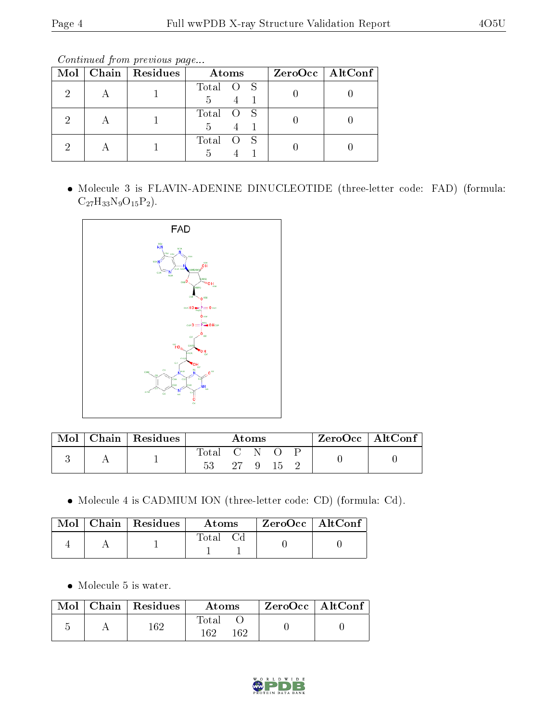Continued from previous page...

|  | Mol   Chain   Residues | Atoms     | $ZeroOcc \   \$ AltConf |
|--|------------------------|-----------|-------------------------|
|  |                        | Total O S |                         |
|  |                        | Total O S |                         |
|  |                        | Total O S |                         |

 Molecule 3 is FLAVIN-ADENINE DINUCLEOTIDE (three-letter code: FAD) (formula:  $C_{27}H_{33}N_9O_{15}P_2$ .



| Mol | $Chain   Residues$ | Atoms           |  |              |        |  | ZeroOcc   AltConf |  |
|-----|--------------------|-----------------|--|--------------|--------|--|-------------------|--|
|     |                    | Total C N<br>53 |  | $27 \quad 9$ | - 15 - |  |                   |  |

Molecule 4 is CADMIUM ION (three-letter code: CD) (formula: Cd).

|  | Mol   Chain   Residues | Atoms    | $ZeroOcc \   \ AltConf$ |  |
|--|------------------------|----------|-------------------------|--|
|  |                        | Total Cd |                         |  |

Molecule 5 is water.

|  | $\text{Mol}$   Chain   Residues | Atoms               | ZeroOcc   AltConf |  |
|--|---------------------------------|---------------------|-------------------|--|
|  | 169                             | Total<br>162<br>169 |                   |  |

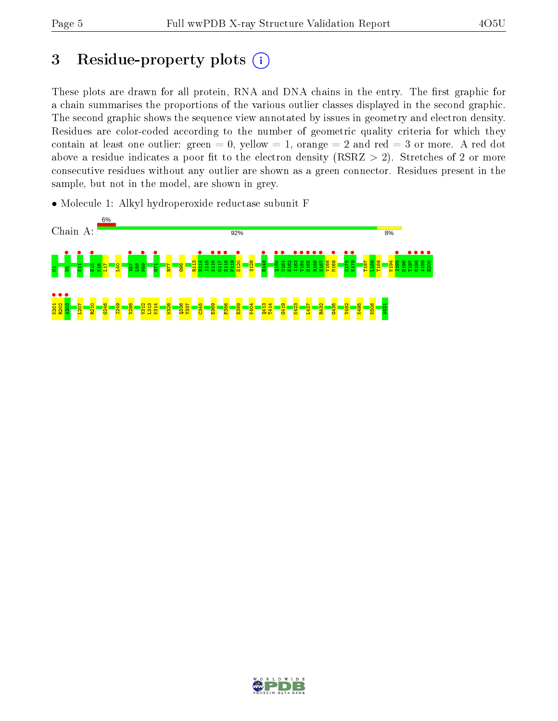# 3 Residue-property plots  $(i)$

These plots are drawn for all protein, RNA and DNA chains in the entry. The first graphic for a chain summarises the proportions of the various outlier classes displayed in the second graphic. The second graphic shows the sequence view annotated by issues in geometry and electron density. Residues are color-coded according to the number of geometric quality criteria for which they contain at least one outlier: green  $= 0$ , yellow  $= 1$ , orange  $= 2$  and red  $= 3$  or more. A red dot above a residue indicates a poor fit to the electron density (RSRZ  $> 2$ ). Stretches of 2 or more consecutive residues without any outlier are shown as a green connector. Residues present in the sample, but not in the model, are shown in grey.

• Molecule 1: Alkyl hydroperoxide reductase subunit F



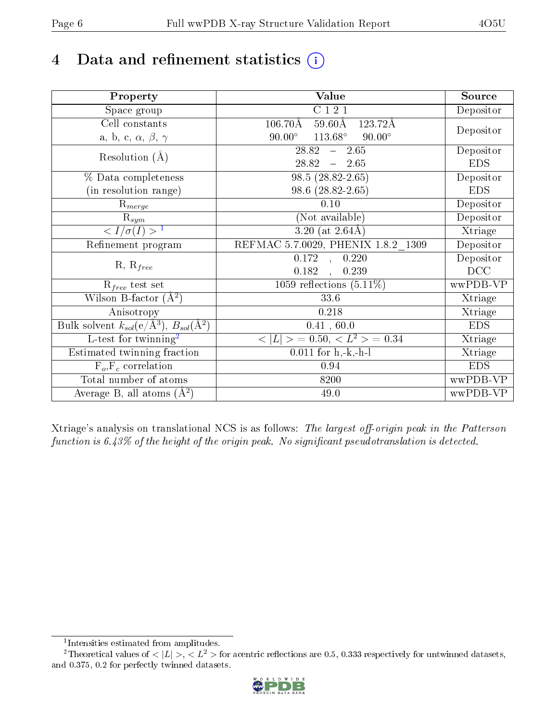# 4 Data and refinement statistics  $(i)$

| Property                                                             | Value                                              | Source     |
|----------------------------------------------------------------------|----------------------------------------------------|------------|
| Space group                                                          | C121                                               | Depositor  |
| Cell constants                                                       | $59.60\text{\AA}$<br>$106.70\text{\AA}$<br>123.72Å | Depositor  |
| a, b, c, $\alpha$ , $\beta$ , $\gamma$                               | $90.00^\circ$<br>$113.68^\circ$<br>$90.00^\circ$   |            |
| Resolution $(A)$                                                     | 28.82<br>$-2.65$                                   | Depositor  |
|                                                                      | 28.82<br>$-2.65$                                   | <b>EDS</b> |
| % Data completeness                                                  | $98.5(28.82-2.65)$                                 | Depositor  |
| (in resolution range)                                                | 98.6 (28.82-2.65)                                  | <b>EDS</b> |
| $R_{merge}$                                                          | 0.10                                               | Depositor  |
| $\mathrm{R}_{sym}$                                                   | (Not available)                                    | Depositor  |
| $\sqrt{I/\sigma(I)} > 1$                                             | $3.20$ (at $2.64\text{\AA}$ )                      | Xtriage    |
| Refinement program                                                   | REFMAC 5.7.0029, PHENIX 1.8.2 1309                 | Depositor  |
|                                                                      | 0.172<br>0.220<br>$\sim$ , $\sim$                  | Depositor  |
| $R, R_{free}$                                                        | 0.182<br>0.239<br>$\overline{a}$                   | DCC        |
| $\mathcal{R}_{free}$ test set                                        | 1059 reflections $(5.11\%)$                        | wwPDB-VP   |
| Wilson B-factor $(A^2)$                                              | $33.6\,$                                           | Xtriage    |
| Anisotropy                                                           | 0.218                                              | Xtriage    |
| Bulk solvent $k_{sol}(e/\mathring{A}^3)$ , $B_{sol}(\mathring{A}^2)$ | 0.41, 60.0                                         | <b>EDS</b> |
| L-test for twinning <sup>2</sup>                                     | $< L >$ = 0.50, $< L2 >$ = 0.34                    | Xtriage    |
| Estimated twinning fraction                                          | $\overline{0.0}11$ for h,-k,-h-l                   | Xtriage    |
| $F_o, F_c$ correlation                                               | 0.94                                               | <b>EDS</b> |
| Total number of atoms                                                | 8200                                               | wwPDB-VP   |
| Average B, all atoms $(A^2)$                                         | 49.0                                               | wwPDB-VP   |

Xtriage's analysis on translational NCS is as follows: The largest off-origin peak in the Patterson function is  $6.43\%$  of the height of the origin peak. No significant pseudotranslation is detected.

<sup>&</sup>lt;sup>2</sup>Theoretical values of  $\langle |L| \rangle$ ,  $\langle L^2 \rangle$  for acentric reflections are 0.5, 0.333 respectively for untwinned datasets, and 0.375, 0.2 for perfectly twinned datasets.



<span id="page-5-1"></span><span id="page-5-0"></span><sup>1</sup> Intensities estimated from amplitudes.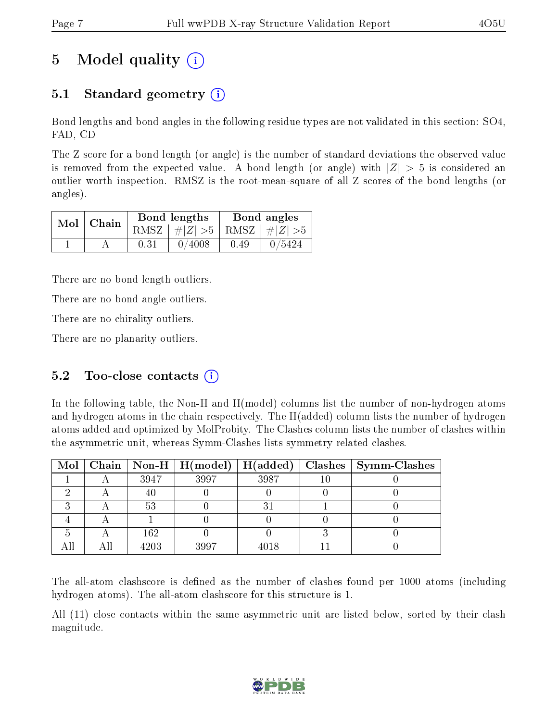# 5 Model quality  $(i)$

## 5.1 Standard geometry  $\overline{()}$

Bond lengths and bond angles in the following residue types are not validated in this section: SO4, FAD, CD

The Z score for a bond length (or angle) is the number of standard deviations the observed value is removed from the expected value. A bond length (or angle) with  $|Z| > 5$  is considered an outlier worth inspection. RMSZ is the root-mean-square of all Z scores of the bond lengths (or angles).

| $Mol$   Chain |      | Bond lengths                    | Bond angles |        |  |
|---------------|------|---------------------------------|-------------|--------|--|
|               |      | RMSZ $ #Z  > 5$ RMSZ $ #Z  > 5$ |             |        |  |
|               | 0.31 | 0/4008                          | 0.49        | 0/5424 |  |

There are no bond length outliers.

There are no bond angle outliers.

There are no chirality outliers.

There are no planarity outliers.

### 5.2 Too-close contacts  $(i)$

In the following table, the Non-H and H(model) columns list the number of non-hydrogen atoms and hydrogen atoms in the chain respectively. The H(added) column lists the number of hydrogen atoms added and optimized by MolProbity. The Clashes column lists the number of clashes within the asymmetric unit, whereas Symm-Clashes lists symmetry related clashes.

|  |      | Mol   Chain   Non-H   H(model) | H(added) | Clashes   Symm-Clashes |
|--|------|--------------------------------|----------|------------------------|
|  | 3947 | 3997                           | 3987     |                        |
|  | 40   |                                |          |                        |
|  | 53   |                                |          |                        |
|  |      |                                |          |                        |
|  | 162  |                                |          |                        |
|  | 4203 | 3997                           | 4018     |                        |

The all-atom clashscore is defined as the number of clashes found per 1000 atoms (including hydrogen atoms). The all-atom clashscore for this structure is 1.

All (11) close contacts within the same asymmetric unit are listed below, sorted by their clash magnitude.

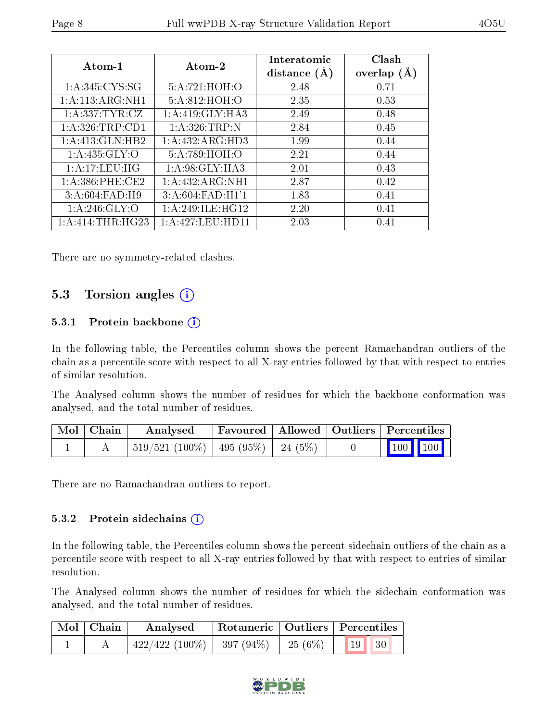| $Atom-1$            | Atom-2              | Interatomic<br>distance $(A)$ | Clash<br>overlap $(A)$ |
|---------------------|---------------------|-------------------------------|------------------------|
| 1: A:345: CYS:SG    | 5:A:721:HOH:        | 2.48                          | 0.71                   |
| 1:A:113:ARG:NH1     | 5:A:812:HOH:O       | 2.35                          | 0.53                   |
| 1: A: 337: TYR: CZ  | 1:A:419:GLY:HA3     | 2.49                          | 0.48                   |
| 1: A:326:TRP:CD1    | 1: A:326:TRP:N      | 2.84                          | 0.45                   |
| 1:A:413:GLN:HB2     | 1:A:432:ARG:HD3     | 1.99                          | 0.44                   |
| 1: A: 435: GLY:O    | 5:A:789:HOH:O       | 2.21                          | 0.44                   |
| 1: A:17:LEU:HG      | 1:A:98:GLY:HA3      | 2.01                          | 0.43                   |
| $1: A:386:$ PHE:CE2 | 1: A: 432: ARG: NH1 | 2.87                          | 0.42                   |
| 3:A:604:FAD:H9      | 3:A:604:FAD:H1'1    | 1.83                          | 0.41                   |
| 1: A:246: GLY:O     | 1: A:249: ILE: HG12 | 2.20                          | 0.41                   |
| 1:A:414:THR:HG23    | 1: A:427:LEU:HD11   | 2.03                          | 0.41                   |

There are no symmetry-related clashes.

### 5.3 Torsion angles (i)

#### 5.3.1 Protein backbone (i)

In the following table, the Percentiles column shows the percent Ramachandran outliers of the chain as a percentile score with respect to all X-ray entries followed by that with respect to entries of similar resolution.

The Analysed column shows the number of residues for which the backbone conformation was analysed, and the total number of residues.

| $\mid$ Mol $\mid$ Chain | Analysed                                  |  | Favoured   Allowed   Outliers   Percentiles                |
|-------------------------|-------------------------------------------|--|------------------------------------------------------------|
|                         | $519/521$ (100\%)   495 (95\%)   24 (5\%) |  | $\begin{array}{ c c c c }\n\hline\n100 & 100\n\end{array}$ |

There are no Ramachandran outliers to report.

#### 5.3.2 Protein sidechains  $(i)$

In the following table, the Percentiles column shows the percent sidechain outliers of the chain as a percentile score with respect to all X-ray entries followed by that with respect to entries of similar resolution.

The Analysed column shows the number of residues for which the sidechain conformation was analysed, and the total number of residues.

| Mol   Chain | Analysed                       |            | Rotameric   Outliers   Percentiles |  |
|-------------|--------------------------------|------------|------------------------------------|--|
|             | $422/422$ (100\%)   397 (94\%) | 25 $(6\%)$ | 19   30                            |  |

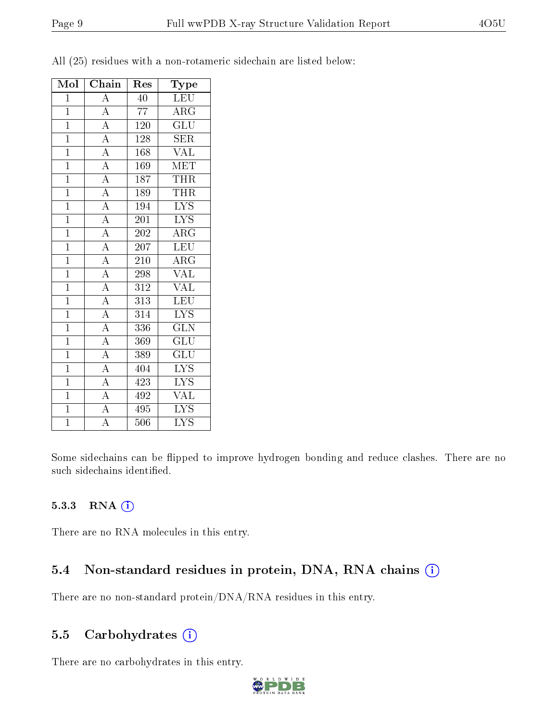| Mol            | ${\bf Chain}$                                                           | Res              | Type                          |
|----------------|-------------------------------------------------------------------------|------------------|-------------------------------|
| $\overline{1}$ | $\overline{A}$                                                          | $\overline{40}$  | LEU                           |
| $\mathbf{1}$   | $\overline{A}$                                                          | 77               | $\rm{ARG}$                    |
| $\overline{1}$ | $\frac{\overline{A}}{\overline{A}}$                                     | $\overline{120}$ | $\overline{\mathrm{GLU}}$     |
| $\overline{1}$ |                                                                         | <sup>1</sup> 28  | <b>SER</b>                    |
| $\mathbf{1}$   | $\frac{A}{A}$                                                           | 168              | <b>VAL</b>                    |
| $\overline{1}$ |                                                                         | 169              | <b>MET</b>                    |
| $\overline{1}$ | $\overline{A}$                                                          | 187              | <b>THR</b>                    |
| $\overline{1}$ | $\overline{A}$                                                          | 189              | <b>THR</b>                    |
| $\overline{1}$ | $\overline{A}$                                                          | 194              | $\overline{\text{LYS}}$       |
| $\overline{1}$ |                                                                         | $\overline{201}$ | $\overline{\text{LYS}}$       |
| $\mathbf{1}$   |                                                                         | 202              | $\overline{\rm{ARG}}$         |
| $\overline{1}$ | $\frac{\overline{A}}{\overline{A}}$ $\frac{\overline{A}}{\overline{A}}$ | 207              | LEU                           |
| $\overline{1}$ |                                                                         | 210              | $\overline{\rm{ARG}}$         |
| $\mathbf{1}$   | $\frac{\overline{A}}{\overline{A}}$                                     | 298              | <b>VAL</b>                    |
| $\overline{1}$ |                                                                         | $\overline{312}$ | $\overline{\text{VAL}}$       |
| $\overline{1}$ | $\overline{A}$                                                          | 313              | <b>LEU</b>                    |
| $\overline{1}$ | $\overline{A}$                                                          | 314              | $\overline{\text{LYS}}$       |
| $\overline{1}$ | $\frac{\overline{A}}{\overline{A}}$                                     | 336              | $\overline{\text{GLN}}$       |
| $\mathbf{1}$   |                                                                         | 369              | $\overline{\text{GLU}}$       |
| $\overline{1}$ |                                                                         | 389              | $\overline{\mathrm{GLU}}$     |
| $\mathbf{1}$   | $\frac{A}{A}$                                                           | 404              | <b>LYS</b>                    |
| $\mathbf{1}$   |                                                                         | 423              | LYS                           |
| $\mathbf{1}$   | $\overline{A}$                                                          | 492              | <b>VAL</b>                    |
| $\overline{1}$ | $\overline{A}$                                                          | 495              | $\overline{L} \overline{Y} S$ |
| $\overline{1}$ | $\overline{\rm A}$                                                      | 506              | $\overline{\mathrm{LYS}}$     |

All (25) residues with a non-rotameric sidechain are listed below:

Some sidechains can be flipped to improve hydrogen bonding and reduce clashes. There are no such sidechains identified.

#### 5.3.3 RNA (1)

There are no RNA molecules in this entry.

### 5.4 Non-standard residues in protein, DNA, RNA chains (i)

There are no non-standard protein/DNA/RNA residues in this entry.

### 5.5 Carbohydrates  $(i)$

There are no carbohydrates in this entry.

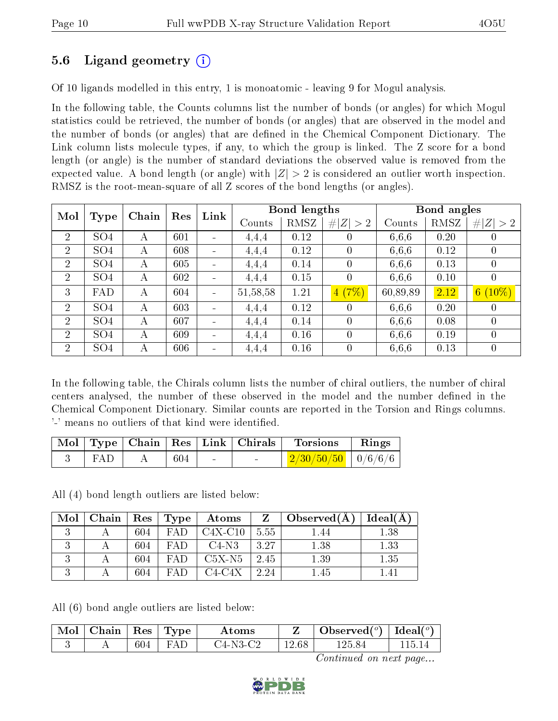### 5.6 Ligand geometry (i)

Of 10 ligands modelled in this entry, 1 is monoatomic - leaving 9 for Mogul analysis.

In the following table, the Counts columns list the number of bonds (or angles) for which Mogul statistics could be retrieved, the number of bonds (or angles) that are observed in the model and the number of bonds (or angles) that are dened in the Chemical Component Dictionary. The Link column lists molecule types, if any, to which the group is linked. The Z score for a bond length (or angle) is the number of standard deviations the observed value is removed from the expected value. A bond length (or angle) with  $|Z| > 2$  is considered an outlier worth inspection. RMSZ is the root-mean-square of all Z scores of the bond lengths (or angles).

| Mol            |                 | Chain | Res | Link |            | <b>Bond lengths</b> |             |          | Bond angles |                |
|----------------|-----------------|-------|-----|------|------------|---------------------|-------------|----------|-------------|----------------|
|                | Type            |       |     |      | Counts     | RMSZ                | # $ Z  > 2$ | Counts   | RMSZ        | # $ Z  > 2$    |
| $\overline{2}$ | SO <sub>4</sub> | А     | 601 |      | 4,4,4      | 0.12                |             | 6,6,6    | 0.20        | 0              |
| $\overline{2}$ | SO <sub>4</sub> | А     | 608 |      | 4,4,4      | 0.12                | $\theta$    | 6,6,6    | 0.12        | $\overline{0}$ |
| $\overline{2}$ | SO <sub>4</sub> | А     | 605 |      | 4,4,4      | 0.14                | $\theta$    | 6,6,6    | 0.13        | $\overline{0}$ |
| $\overline{2}$ | SO <sub>4</sub> | А     | 602 |      | 4,4,4      | 0.15                | 0           | 6,6,6    | 0.10        | $\overline{0}$ |
| 3              | <b>FAD</b>      | А     | 604 |      | 51, 58, 58 | 1.21                | 4(7%)       | 60,89,89 | 2.12        | $6(10\%)$      |
| $\overline{2}$ | SO <sub>4</sub> | А     | 603 |      | 4,4,4      | 0.12                | $\theta$    | 6,6,6    | 0.20        | $\overline{0}$ |
| $\overline{2}$ | SO <sub>4</sub> | А     | 607 |      | 4,4,4      | 0.14                | $\Omega$    | 6,6,6    | 0.08        | $\theta$       |
| $\overline{2}$ | SO <sub>4</sub> | А     | 609 |      | 4,4,4      | 0.16                | $\Omega$    | 6,6,6    | 0.19        | $\theta$       |
| 2              | SO <sub>4</sub> | А     | 606 |      | 4,4,4      | 0.16                | $\Omega$    | 6.6.6    | 0.13        | $\overline{0}$ |

In the following table, the Chirals column lists the number of chiral outliers, the number of chiral centers analysed, the number of these observed in the model and the number defined in the Chemical Component Dictionary. Similar counts are reported in the Torsion and Rings columns. '-' means no outliers of that kind were identified.

|     |     |        | Mol   Type   Chain   Res   Link   Chirals | <b>Torsions</b>                                                                            | Rings |
|-----|-----|--------|-------------------------------------------|--------------------------------------------------------------------------------------------|-------|
| FAP | 604 | $\sim$ | <b>Contract</b>                           | $\left\lfloor \frac{2/30/50/50}{2} \right\rfloor \left\lfloor \frac{0}{6/6} \right\rfloor$ |       |

All (4) bond length outliers are listed below:

| Mol | Chain | Res | Type | Atoms     | $\mathbf{Z}$ | Observed $(A)$ | Ideal(A) |
|-----|-------|-----|------|-----------|--------------|----------------|----------|
|     |       | 604 | FAD  | $C4X-C10$ | 5.55         | 1.44           | 1.38     |
|     |       | 604 | FA D | $C4-N3$   | 3.27         | 1.38           | 1.33     |
|     |       | 604 | FAD  | $C5X-N5$  | 2.45         | 1.39           | 1.35     |
|     |       | 604 | FAD  | C4-C4X    | 2.24         | .45            |          |

All (6) bond angle outliers are listed below:

| Mol | Chain | $\operatorname{Res}$ | $\perp$ Type | $\rm\bf Atoms$ |       | Observed $(^\circ)$ | Ideal( $^o$ |
|-----|-------|----------------------|--------------|----------------|-------|---------------------|-------------|
|     |       | 604                  |              | J4-N3-C2       | 12.68 | 125.84              |             |

Continued on next page...

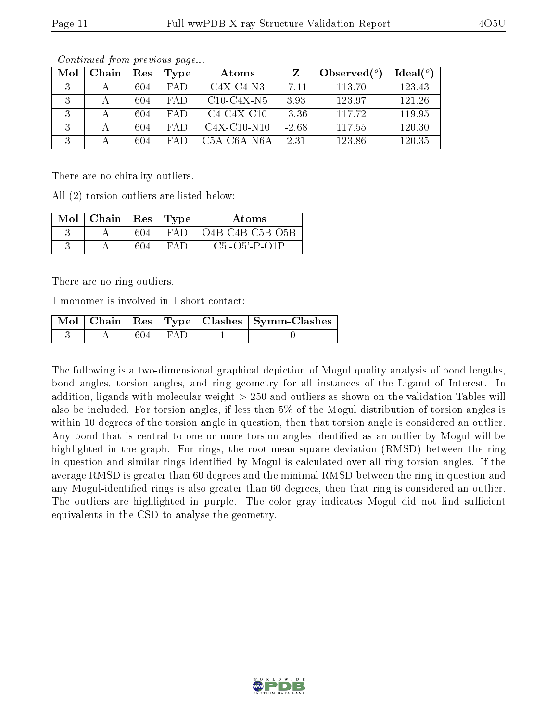| Mol | Chain | Res | 'Type      | Atoms                                              |         | Observed $(^\circ)$ | Ideal $(°)$ |
|-----|-------|-----|------------|----------------------------------------------------|---------|---------------------|-------------|
|     |       | 604 | FAD.       | $C4X-C4-N3$                                        | $-7.11$ | 113.70              | 123.43      |
| 2   |       | 604 | <b>FAD</b> | $C10-C4X-N5$                                       | 3.93    | 123.97              | 121.26      |
| 2   |       | 604 | <b>FAD</b> | $C4-C4X-C10$                                       | $-3.36$ | 117.72              | 119.95      |
| 2   |       | 604 | FAD.       | $C4X-C10-N10$                                      | $-2.68$ | 117.55              | 120.30      |
| 2   |       | 604 | FA D       | C <sub>5</sub> A-C <sub>6</sub> A-N <sub>6</sub> A | 2.31    | 123.86              | 120.35      |

Continued from previous page...

There are no chirality outliers.

All (2) torsion outliers are listed below:

| $\text{Mol}$   Chain   $\text{V}$ |     | Res   Type | Atoms                       |
|-----------------------------------|-----|------------|-----------------------------|
|                                   | 604 | FA D       | $O4B-C4B-C5B-O5B$           |
|                                   | 604 | $FA$ 1)    | $C5'$ - $O5'$ - $P$ - $O1P$ |

There are no ring outliers.

1 monomer is involved in 1 short contact:

|  |             | Mol   Chain   Res   Type   Clashes   Symm-Clashes |
|--|-------------|---------------------------------------------------|
|  | $604$   FAD |                                                   |

The following is a two-dimensional graphical depiction of Mogul quality analysis of bond lengths, bond angles, torsion angles, and ring geometry for all instances of the Ligand of Interest. In addition, ligands with molecular weight > 250 and outliers as shown on the validation Tables will also be included. For torsion angles, if less then 5% of the Mogul distribution of torsion angles is within 10 degrees of the torsion angle in question, then that torsion angle is considered an outlier. Any bond that is central to one or more torsion angles identified as an outlier by Mogul will be highlighted in the graph. For rings, the root-mean-square deviation (RMSD) between the ring in question and similar rings identified by Mogul is calculated over all ring torsion angles. If the average RMSD is greater than 60 degrees and the minimal RMSD between the ring in question and any Mogul-identied rings is also greater than 60 degrees, then that ring is considered an outlier. The outliers are highlighted in purple. The color gray indicates Mogul did not find sufficient equivalents in the CSD to analyse the geometry.

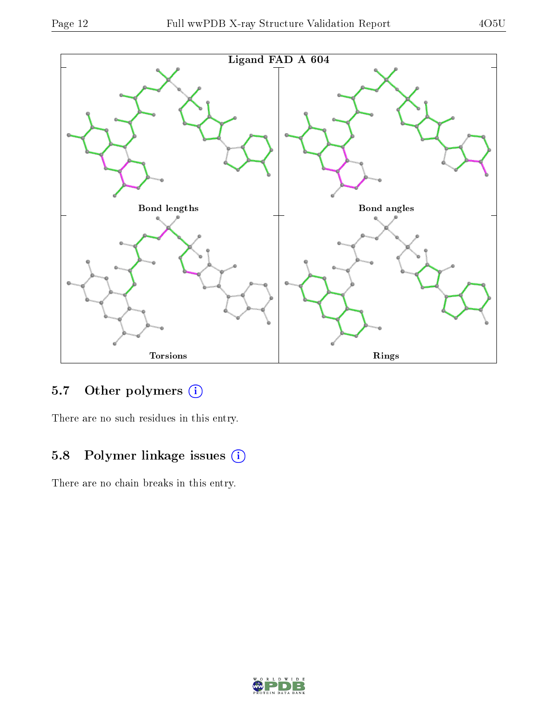

### 5.7 [O](https://www.wwpdb.org/validation/2017/XrayValidationReportHelp#nonstandard_residues_and_ligands)ther polymers (i)

There are no such residues in this entry.

## 5.8 Polymer linkage issues (i)

There are no chain breaks in this entry.

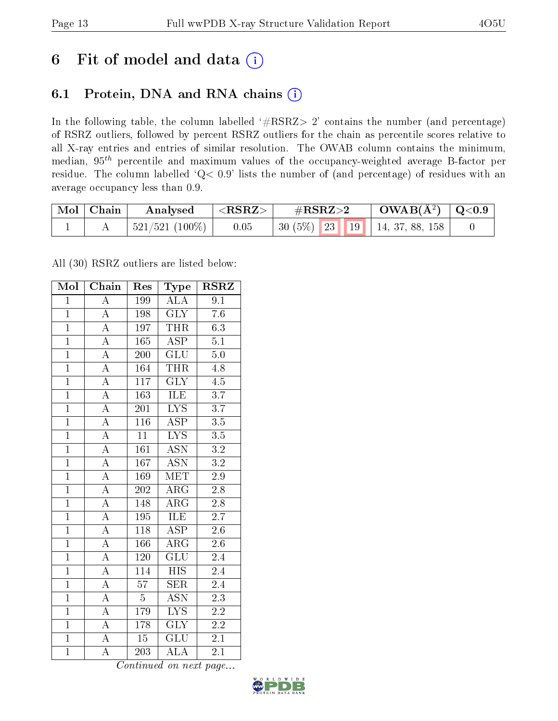# 6 Fit of model and data  $(i)$

### 6.1 Protein, DNA and RNA chains  $(i)$

In the following table, the column labelled  $#RSRZ> 2'$  contains the number (and percentage) of RSRZ outliers, followed by percent RSRZ outliers for the chain as percentile scores relative to all X-ray entries and entries of similar resolution. The OWAB column contains the minimum, median,  $95<sup>th</sup>$  percentile and maximum values of the occupancy-weighted average B-factor per residue. The column labelled ' $Q< 0.9$ ' lists the number of (and percentage) of residues with an average occupancy less than 0.9.

| $\bf{Mol}$ | $\mid$ Chain | Analysed         | ${ <\hspace{-1.5pt}{\mathrm{RSRZ}} \hspace{-1.5pt}>}$ | $\#\text{RSRZ}{>}2$ |  | $\text{OWAB}(\AA^2)$   Q<0.9 |                                        |  |
|------------|--------------|------------------|-------------------------------------------------------|---------------------|--|------------------------------|----------------------------------------|--|
|            |              | $521/521$ (100%) | 0.05                                                  |                     |  |                              | 30 $(5\%)$   23   19   14, 37, 88, 158 |  |

All (30) RSRZ outliers are listed below:

| Mol            | Chain              | Res              | Type                      | <b>RSRZ</b>      |  |
|----------------|--------------------|------------------|---------------------------|------------------|--|
| $\mathbf{1}$   | $\overline{\rm A}$ | 199              | $\overline{\rm ALA}$      | 9.1              |  |
| $\mathbf{1}$   | $\overline{\rm A}$ | 198              | <b>GLY</b>                | 7.6              |  |
| $\overline{1}$ | $\overline{\rm A}$ | 197              | <b>THR</b>                | 6.3              |  |
| $\overline{1}$ | $\overline{\rm A}$ | 165              | <b>ASP</b>                | $\overline{5.1}$ |  |
| $\overline{1}$ | $\overline{\rm A}$ | $\overline{200}$ | $\overline{{\rm GLU}}$    | $5.\overline{0}$ |  |
| $\overline{1}$ | $\overline{\rm A}$ | 164              | <b>THR</b>                | 4.8              |  |
| $\overline{1}$ | $\overline{\rm A}$ | $\overline{117}$ | $\overline{\text{GLY}}$   | 4.5              |  |
| $\overline{1}$ | $\overline{A}$     | 163              | ILE                       | $\overline{3.7}$ |  |
| $\mathbf{1}$   | $\overline{\rm A}$ | 201              | $\overline{LYS}$          | $\overline{3.7}$ |  |
| $\overline{1}$ | $\overline{\rm A}$ | $116\,$          | $\overline{\text{ASP}}$   | $\overline{3.5}$ |  |
| $\overline{1}$ | $\overline{\rm A}$ | $\overline{11}$  | $\overline{\text{LYS}}$   | $\overline{3.5}$ |  |
| $\overline{1}$ | $\overline{A}$     | 161              | $\overline{\mathrm{ASN}}$ | $\overline{3.2}$ |  |
| $\overline{1}$ | $\overline{A}$     | 167              | <b>ASN</b>                | $\overline{3.2}$ |  |
| $\overline{1}$ | $\overline{\rm A}$ | 169              | $\overline{\text{MET}}$   | $\overline{2.9}$ |  |
| $\overline{1}$ | $\overline{\rm A}$ | <b>202</b>       | $\overline{\rm ARG}$      | $\overline{2.8}$ |  |
| $\overline{1}$ | $\overline{\rm A}$ | 148              | $AR\overline{G}$          | $\overline{2.8}$ |  |
| $\overline{1}$ | $\overline{A}$     | $\overline{195}$ | <b>ILE</b>                | $\overline{2.7}$ |  |
| $\overline{1}$ | $\overline{\rm A}$ | 118              | <b>ASP</b>                | 2.6              |  |
| $\overline{1}$ | $\overline{\rm A}$ | 166              | $AR\overline{G}$          | $2.\overline{6}$ |  |
| $\overline{1}$ | $\overline{\rm A}$ | 120              | GLU                       | $\overline{2}.4$ |  |
| $\overline{1}$ | $\overline{\rm A}$ | 114              | HIS <sup>T</sup>          | $2.4\,$          |  |
| $\overline{1}$ | $\overline{A}$     | $\overline{57}$  | SER                       | 2.4              |  |
| $\overline{1}$ | $\overline{\rm A}$ | $\overline{5}$   | ASN                       | 2.3              |  |
| $\overline{1}$ | $\overline{\rm A}$ | 179              | $\overline{\text{LYS}}$   | $\overline{2.2}$ |  |
| $\overline{1}$ | $\overline{\rm A}$ | 178              | $\overline{\text{GLY}}$   | $\overline{2.2}$ |  |
| $\overline{1}$ | A                  | 15               | <b>GLU</b>                | 2.1              |  |
| $\overline{1}$ | $\overline{\rm A}$ | $\overline{203}$ | $\overline{\rm ALA}$      | $2\overline{.1}$ |  |

Continued on next page...

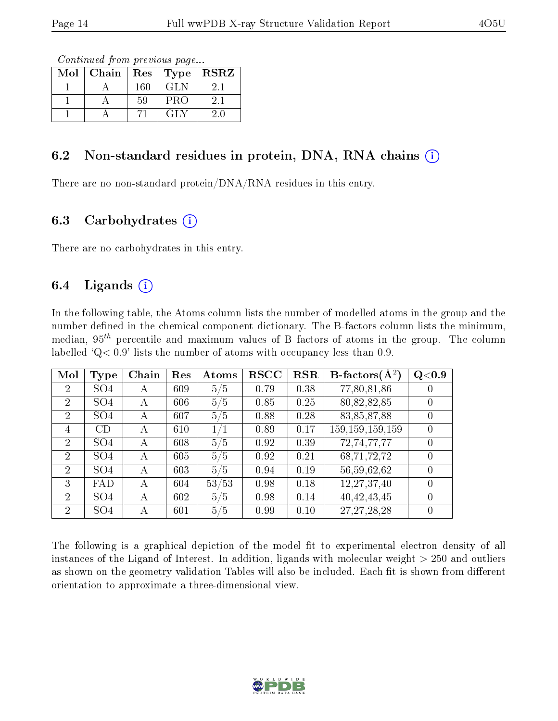Continued from previous page...

| Mol | Chain | Res | $\top$ Type | <b>RSRZ</b> |
|-----|-------|-----|-------------|-------------|
|     |       | 160 | GL N        |             |
|     |       | 59  | PRO         | 21          |
|     |       |     | GL Z        |             |

#### 6.2 Non-standard residues in protein, DNA, RNA chains  $(i)$

There are no non-standard protein/DNA/RNA residues in this entry.

#### 6.3 Carbohydrates  $(i)$

There are no carbohydrates in this entry.

### 6.4 Ligands  $(i)$

In the following table, the Atoms column lists the number of modelled atoms in the group and the number defined in the chemical component dictionary. The B-factors column lists the minimum, median,  $95<sup>th</sup>$  percentile and maximum values of B factors of atoms in the group. The column labelled  $Q< 0.9$ ' lists the number of atoms with occupancy less than 0.9.

| Mol            | Type            | Chain | Res | Atoms | <b>RSCC</b> | <b>RSR</b> | B-factors $\overline{(\mathbf{A}^2)}$ | Q <sub>0.9</sub> |
|----------------|-----------------|-------|-----|-------|-------------|------------|---------------------------------------|------------------|
| $\overline{2}$ | SO <sub>4</sub> | А     | 609 | 5/5   | 0.79        | 0.38       | 77,80,81,86                           | $\cup$           |
| $\overline{2}$ | SO <sub>4</sub> | А     | 606 | 5/5   | 0.85        | 0.25       | 80,82,82,85                           |                  |
| $\overline{2}$ | SO <sub>4</sub> | А     | 607 | 5/5   | 0.88        | 0.28       | 83,85,87,88                           | 0                |
| 4              | CD              | А     | 610 | 1/1   | 0.89        | 0.17       | 159, 159, 159, 159                    | 0                |
| $\overline{2}$ | SO <sub>4</sub> | А     | 608 | 5/5   | 0.92        | 0.39       | 72,74,77,77                           | 0                |
| $\overline{2}$ | SO <sub>4</sub> | A     | 605 | 5/5   | 0.92        | 0.21       | 68,71,72,72                           | $\left( \right)$ |
| $\overline{2}$ | SO <sub>4</sub> | А     | 603 | 5/5   | 0.94        | 0.19       | 56,59,62,62                           | 0                |
| 3              | FAD             | А     | 604 | 53/53 | 0.98        | 0.18       | 12,27,37,40                           | $\Omega$         |
| $\overline{2}$ | SO <sub>4</sub> | А     | 602 | 5/5   | 0.98        | 0.14       | 40, 42, 43, 45                        |                  |
| $\overline{2}$ | SO <sub>4</sub> | А     | 601 | 5/5   | 0.99        | 0.10       | 27, 27, 28, 28                        |                  |

The following is a graphical depiction of the model fit to experimental electron density of all instances of the Ligand of Interest. In addition, ligands with molecular weight  $> 250$  and outliers as shown on the geometry validation Tables will also be included. Each fit is shown from different orientation to approximate a three-dimensional view.